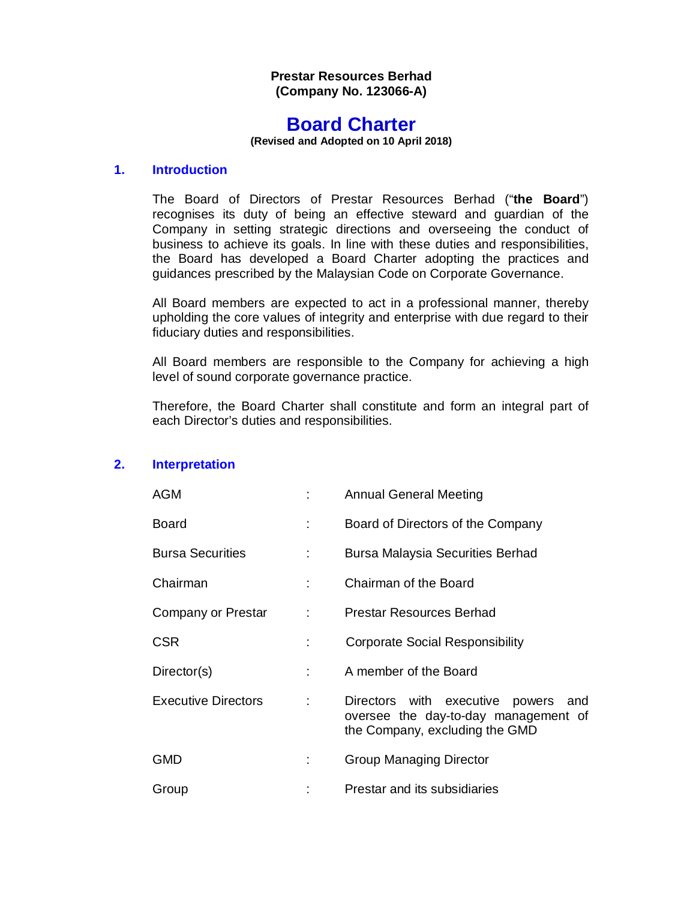## **Prestar Resources Berhad (Company No. 123066-A)**

# **Board Charter**

**(Revised and Adopted on 10 April 2018)**

## **1. Introduction**

The Board of Directors of Prestar Resources Berhad ("**the Board**") recognises its duty of being an effective steward and guardian of the Company in setting strategic directions and overseeing the conduct of business to achieve its goals. In line with these duties and responsibilities, the Board has developed a Board Charter adopting the practices and guidances prescribed by the Malaysian Code on Corporate Governance.

All Board members are expected to act in a professional manner, thereby upholding the core values of integrity and enterprise with due regard to their fiduciary duties and responsibilities.

All Board members are responsible to the Company for achieving a high level of sound corporate governance practice.

Therefore, the Board Charter shall constitute and form an integral part of each Director's duties and responsibilities.

## **2. Interpretation**

| AGM                        |   | <b>Annual General Meeting</b>                                                                                    |
|----------------------------|---|------------------------------------------------------------------------------------------------------------------|
| Board                      | ÷ | Board of Directors of the Company                                                                                |
| <b>Bursa Securities</b>    |   | Bursa Malaysia Securities Berhad                                                                                 |
| Chairman                   | ÷ | Chairman of the Board                                                                                            |
| Company or Prestar         | ÷ | <b>Prestar Resources Berhad</b>                                                                                  |
| CSR                        |   | <b>Corporate Social Responsibility</b>                                                                           |
| Director(s)                |   | A member of the Board                                                                                            |
| <b>Executive Directors</b> |   | Directors with executive powers<br>and<br>oversee the day-to-day management of<br>the Company, excluding the GMD |
| GMD                        |   | <b>Group Managing Director</b>                                                                                   |
| Group                      |   | Prestar and its subsidiaries                                                                                     |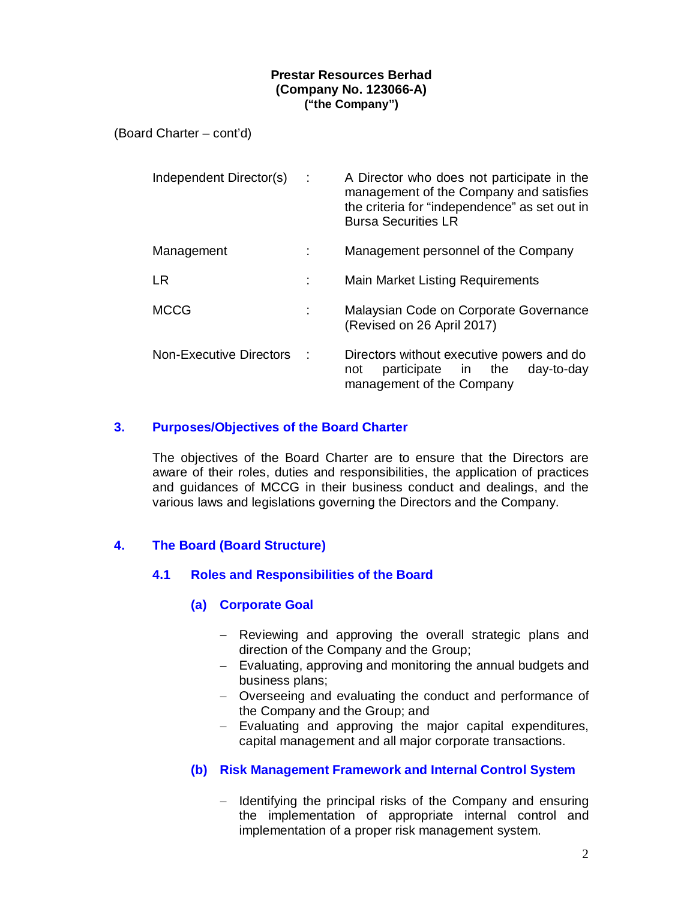(Board Charter – cont'd)

| Independent Director(s)        | ÷ | A Director who does not participate in the<br>management of the Company and satisfies<br>the criteria for "independence" as set out in<br><b>Bursa Securities LR</b> |
|--------------------------------|---|----------------------------------------------------------------------------------------------------------------------------------------------------------------------|
| Management                     |   | Management personnel of the Company                                                                                                                                  |
| LR                             |   | <b>Main Market Listing Requirements</b>                                                                                                                              |
| <b>MCCG</b>                    | ÷ | Malaysian Code on Corporate Governance<br>(Revised on 26 April 2017)                                                                                                 |
| <b>Non-Executive Directors</b> |   | Directors without executive powers and do<br>participate in the<br>day-to-day<br>not<br>management of the Company                                                    |

# **3. Purposes/Objectives of the Board Charter**

The objectives of the Board Charter are to ensure that the Directors are aware of their roles, duties and responsibilities, the application of practices and guidances of MCCG in their business conduct and dealings, and the various laws and legislations governing the Directors and the Company.

# **4. The Board (Board Structure)**

# **4.1 Roles and Responsibilities of the Board**

## **(a) Corporate Goal**

- Reviewing and approving the overall strategic plans and direction of the Company and the Group;
- $\overline{-}$  Evaluating, approving and monitoring the annual budgets and business plans;
- Overseeing and evaluating the conduct and performance of the Company and the Group; and
- Evaluating and approving the major capital expenditures, capital management and all major corporate transactions.

# **(b) Risk Management Framework and Internal Control System**

 $-$  Identifying the principal risks of the Company and ensuring the implementation of appropriate internal control and implementation of a proper risk management system.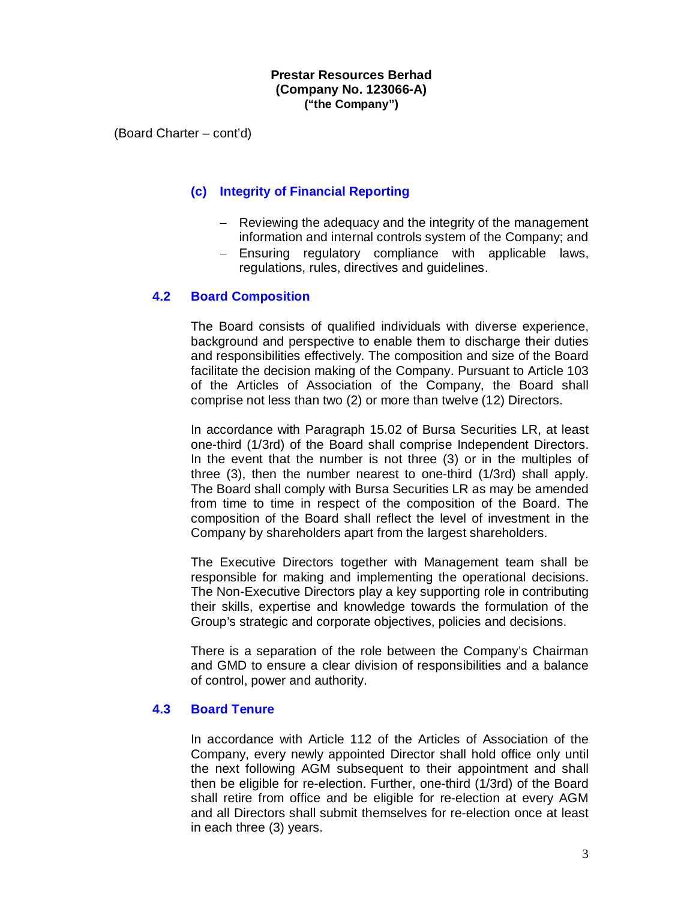(Board Charter – cont'd)

# **(c) Integrity of Financial Reporting**

- Reviewing the adequacy and the integrity of the management information and internal controls system of the Company; and
- Ensuring regulatory compliance with applicable laws, regulations, rules, directives and guidelines.

## **4.2 Board Composition**

The Board consists of qualified individuals with diverse experience, background and perspective to enable them to discharge their duties and responsibilities effectively. The composition and size of the Board facilitate the decision making of the Company. Pursuant to Article 103 of the Articles of Association of the Company, the Board shall comprise not less than two (2) or more than twelve (12) Directors.

In accordance with Paragraph 15.02 of Bursa Securities LR, at least one-third (1/3rd) of the Board shall comprise Independent Directors. In the event that the number is not three (3) or in the multiples of three (3), then the number nearest to one-third (1/3rd) shall apply. The Board shall comply with Bursa Securities LR as may be amended from time to time in respect of the composition of the Board. The composition of the Board shall reflect the level of investment in the Company by shareholders apart from the largest shareholders.

The Executive Directors together with Management team shall be responsible for making and implementing the operational decisions. The Non-Executive Directors play a key supporting role in contributing their skills, expertise and knowledge towards the formulation of the Group's strategic and corporate objectives, policies and decisions.

There is a separation of the role between the Company's Chairman and GMD to ensure a clear division of responsibilities and a balance of control, power and authority.

## **4.3 Board Tenure**

In accordance with Article 112 of the Articles of Association of the Company, every newly appointed Director shall hold office only until the next following AGM subsequent to their appointment and shall then be eligible for re-election. Further, one-third (1/3rd) of the Board shall retire from office and be eligible for re-election at every AGM and all Directors shall submit themselves for re-election once at least in each three (3) years.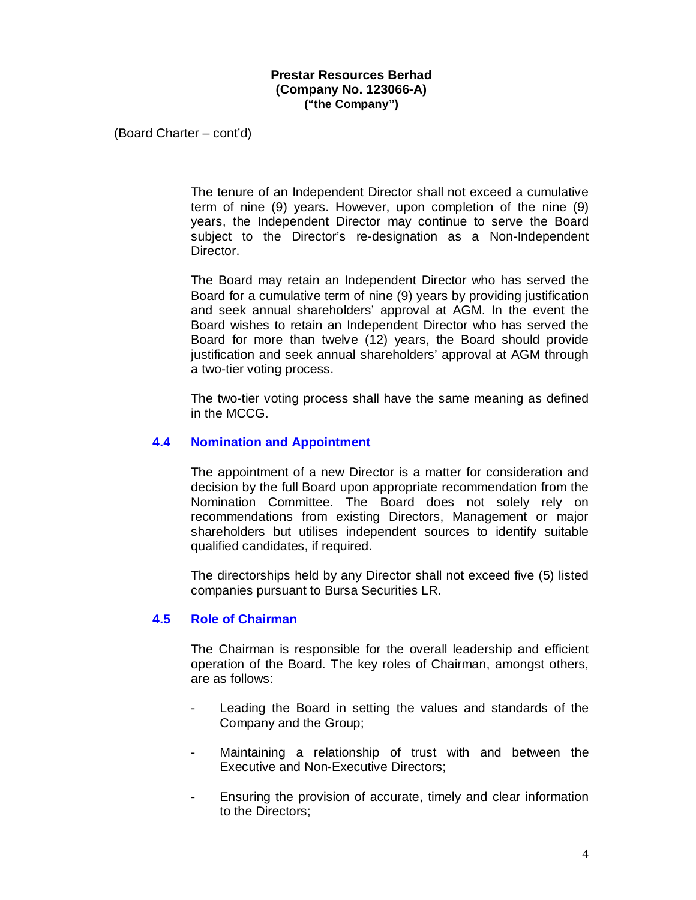(Board Charter – cont'd)

The tenure of an Independent Director shall not exceed a cumulative term of nine (9) years. However, upon completion of the nine (9) years, the Independent Director may continue to serve the Board subject to the Director's re-designation as a Non-Independent Director.

The Board may retain an Independent Director who has served the Board for a cumulative term of nine (9) years by providing justification and seek annual shareholders' approval at AGM. In the event the Board wishes to retain an Independent Director who has served the Board for more than twelve (12) years, the Board should provide iustification and seek annual shareholders' approval at AGM through a two-tier voting process.

The two-tier voting process shall have the same meaning as defined in the MCCG.

#### **4.4 Nomination and Appointment**

The appointment of a new Director is a matter for consideration and decision by the full Board upon appropriate recommendation from the Nomination Committee. The Board does not solely rely on recommendations from existing Directors, Management or major shareholders but utilises independent sources to identify suitable qualified candidates, if required.

The directorships held by any Director shall not exceed five (5) listed companies pursuant to Bursa Securities LR.

#### **4.5 Role of Chairman**

The Chairman is responsible for the overall leadership and efficient operation of the Board. The key roles of Chairman, amongst others, are as follows:

- Leading the Board in setting the values and standards of the Company and the Group;
- Maintaining a relationship of trust with and between the Executive and Non-Executive Directors;
- Ensuring the provision of accurate, timely and clear information to the Directors;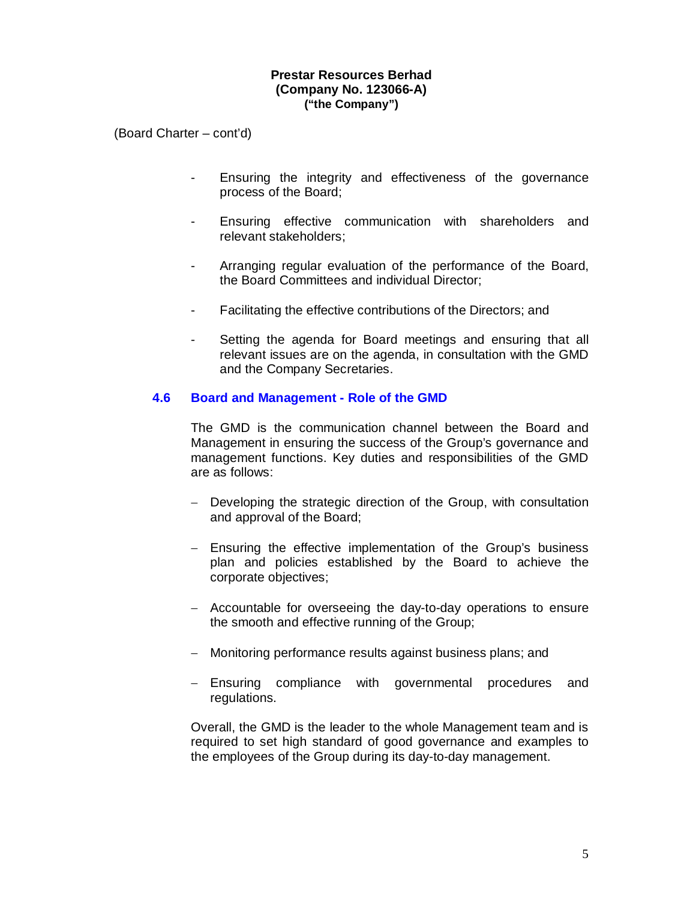(Board Charter – cont'd)

- Ensuring the integrity and effectiveness of the governance process of the Board;
- Ensuring effective communication with shareholders and relevant stakeholders;
- Arranging regular evaluation of the performance of the Board, the Board Committees and individual Director;
- Facilitating the effective contributions of the Directors; and
- Setting the agenda for Board meetings and ensuring that all relevant issues are on the agenda, in consultation with the GMD and the Company Secretaries.

#### **4.6 Board and Management - Role of the GMD**

The GMD is the communication channel between the Board and Management in ensuring the success of the Group's governance and management functions. Key duties and responsibilities of the GMD are as follows:

- Developing the strategic direction of the Group, with consultation and approval of the Board;
- Ensuring the effective implementation of the Group's business plan and policies established by the Board to achieve the corporate objectives;
- Accountable for overseeing the day-to-day operations to ensure the smooth and effective running of the Group;
- Monitoring performance results against business plans; and
- Ensuring compliance with governmental procedures and regulations.

Overall, the GMD is the leader to the whole Management team and is required to set high standard of good governance and examples to the employees of the Group during its day-to-day management.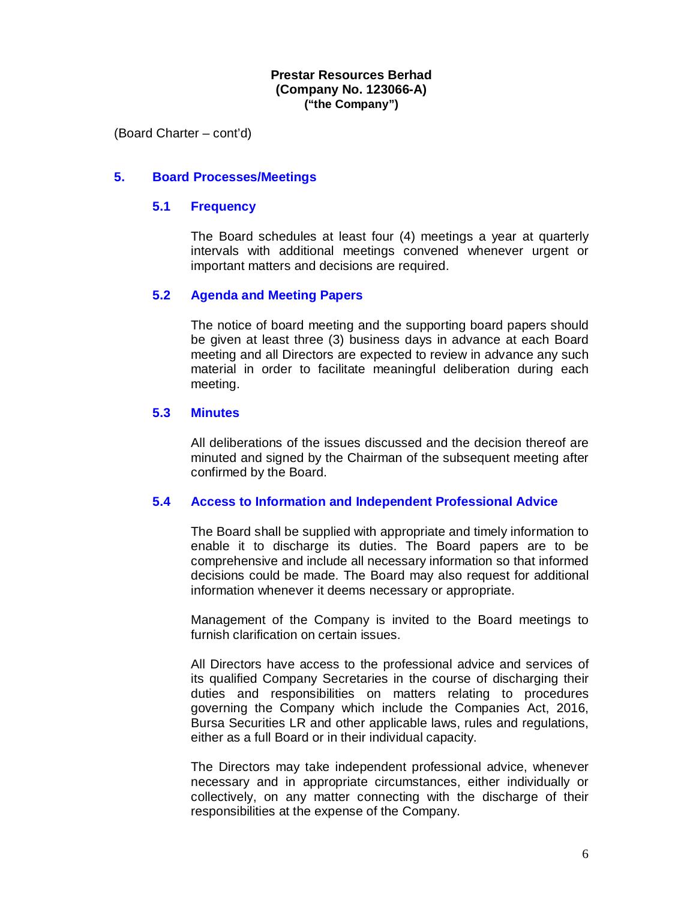(Board Charter – cont'd)

#### **5. Board Processes/Meetings**

#### **5.1 Frequency**

The Board schedules at least four (4) meetings a year at quarterly intervals with additional meetings convened whenever urgent or important matters and decisions are required.

#### **5.2 Agenda and Meeting Papers**

The notice of board meeting and the supporting board papers should be given at least three (3) business days in advance at each Board meeting and all Directors are expected to review in advance any such material in order to facilitate meaningful deliberation during each meeting.

#### **5.3 Minutes**

All deliberations of the issues discussed and the decision thereof are minuted and signed by the Chairman of the subsequent meeting after confirmed by the Board.

#### **5.4 Access to Information and Independent Professional Advice**

The Board shall be supplied with appropriate and timely information to enable it to discharge its duties. The Board papers are to be comprehensive and include all necessary information so that informed decisions could be made. The Board may also request for additional information whenever it deems necessary or appropriate.

Management of the Company is invited to the Board meetings to furnish clarification on certain issues.

All Directors have access to the professional advice and services of its qualified Company Secretaries in the course of discharging their duties and responsibilities on matters relating to procedures governing the Company which include the Companies Act, 2016, Bursa Securities LR and other applicable laws, rules and regulations, either as a full Board or in their individual capacity.

The Directors may take independent professional advice, whenever necessary and in appropriate circumstances, either individually or collectively, on any matter connecting with the discharge of their responsibilities at the expense of the Company.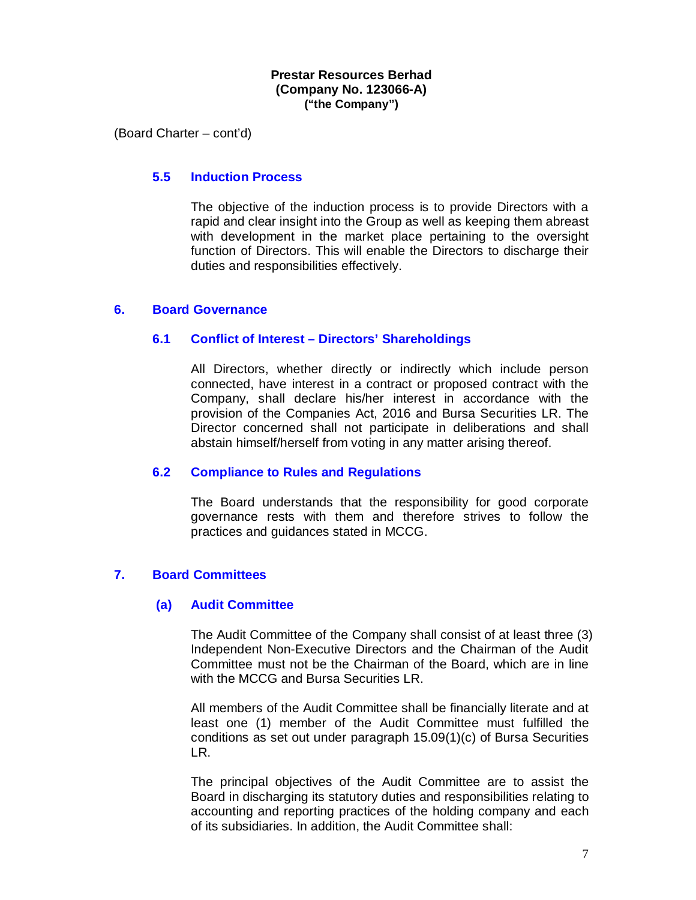(Board Charter – cont'd)

#### **5.5 Induction Process**

The objective of the induction process is to provide Directors with a rapid and clear insight into the Group as well as keeping them abreast with development in the market place pertaining to the oversight function of Directors. This will enable the Directors to discharge their duties and responsibilities effectively.

#### **6. Board Governance**

#### **6.1 Conflict of Interest – Directors' Shareholdings**

All Directors, whether directly or indirectly which include person connected, have interest in a contract or proposed contract with the Company, shall declare his/her interest in accordance with the provision of the Companies Act, 2016 and Bursa Securities LR. The Director concerned shall not participate in deliberations and shall abstain himself/herself from voting in any matter arising thereof.

## **6.2 Compliance to Rules and Regulations**

The Board understands that the responsibility for good corporate governance rests with them and therefore strives to follow the practices and guidances stated in MCCG.

## **7. Board Committees**

#### **(a) Audit Committee**

The Audit Committee of the Company shall consist of at least three (3) Independent Non-Executive Directors and the Chairman of the Audit Committee must not be the Chairman of the Board, which are in line with the MCCG and Bursa Securities LR.

All members of the Audit Committee shall be financially literate and at least one (1) member of the Audit Committee must fulfilled the conditions as set out under paragraph 15.09(1)(c) of Bursa Securities LR.

The principal objectives of the Audit Committee are to assist the Board in discharging its statutory duties and responsibilities relating to accounting and reporting practices of the holding company and each of its subsidiaries. In addition, the Audit Committee shall: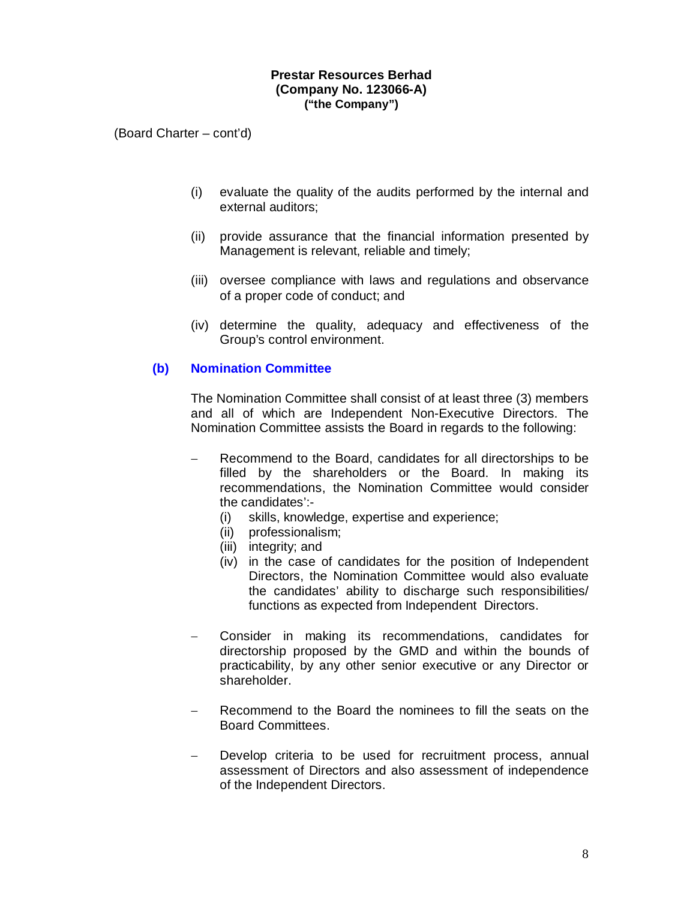(Board Charter – cont'd)

- (i) evaluate the quality of the audits performed by the internal and external auditors;
- (ii) provide assurance that the financial information presented by Management is relevant, reliable and timely;
- (iii) oversee compliance with laws and regulations and observance of a proper code of conduct; and
- (iv) determine the quality, adequacy and effectiveness of the Group's control environment.

# **(b) Nomination Committee**

The Nomination Committee shall consist of at least three (3) members and all of which are Independent Non-Executive Directors. The Nomination Committee assists the Board in regards to the following:

- Recommend to the Board, candidates for all directorships to be filled by the shareholders or the Board. In making its recommendations, the Nomination Committee would consider the candidates':-
	- (i) skills, knowledge, expertise and experience;
	- (ii) professionalism;
	- (iii) integrity; and
	- (iv) in the case of candidates for the position of Independent Directors, the Nomination Committee would also evaluate the candidates' ability to discharge such responsibilities/ functions as expected from Independent Directors.
- Consider in making its recommendations, candidates for directorship proposed by the GMD and within the bounds of practicability, by any other senior executive or any Director or shareholder.
- Recommend to the Board the nominees to fill the seats on the Board Committees.
- Develop criteria to be used for recruitment process, annual assessment of Directors and also assessment of independence of the Independent Directors.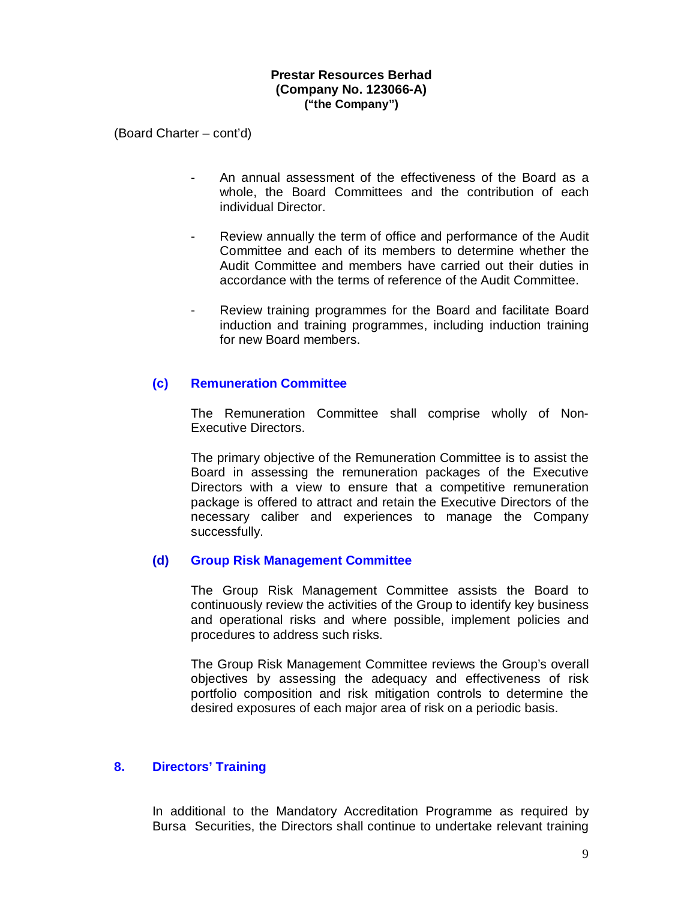(Board Charter – cont'd)

- An annual assessment of the effectiveness of the Board as a whole, the Board Committees and the contribution of each individual Director.
- Review annually the term of office and performance of the Audit Committee and each of its members to determine whether the Audit Committee and members have carried out their duties in accordance with the terms of reference of the Audit Committee.
- Review training programmes for the Board and facilitate Board induction and training programmes, including induction training for new Board members.

## **(c) Remuneration Committee**

The Remuneration Committee shall comprise wholly of Non-Executive Directors.

The primary objective of the Remuneration Committee is to assist the Board in assessing the remuneration packages of the Executive Directors with a view to ensure that a competitive remuneration package is offered to attract and retain the Executive Directors of the necessary caliber and experiences to manage the Company successfully.

#### **(d) Group Risk Management Committee**

The Group Risk Management Committee assists the Board to continuously review the activities of the Group to identify key business and operational risks and where possible, implement policies and procedures to address such risks.

The Group Risk Management Committee reviews the Group's overall objectives by assessing the adequacy and effectiveness of risk portfolio composition and risk mitigation controls to determine the desired exposures of each major area of risk on a periodic basis.

#### **8. Directors' Training**

In additional to the Mandatory Accreditation Programme as required by Bursa Securities, the Directors shall continue to undertake relevant training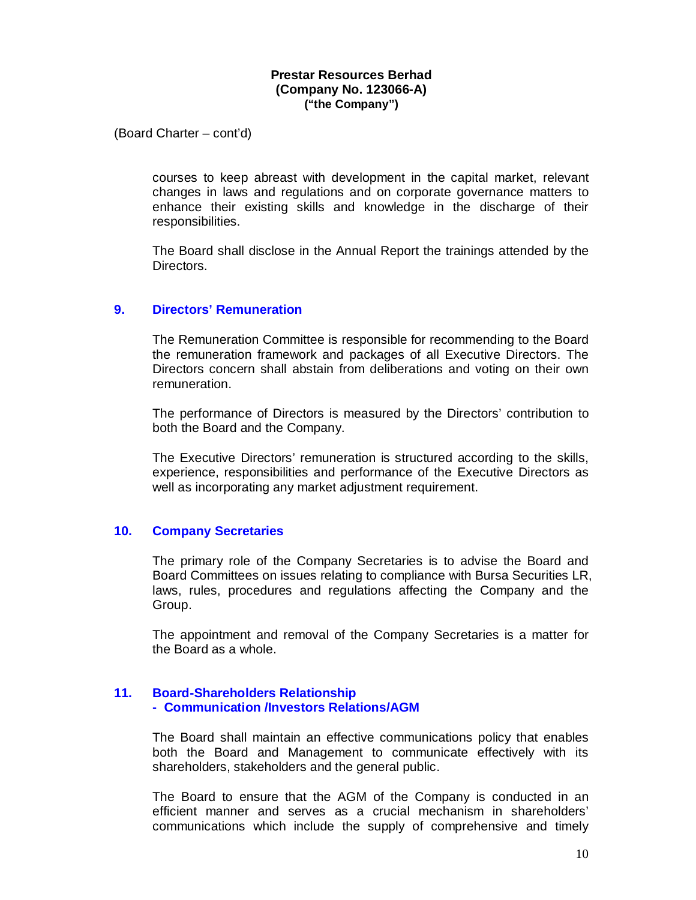(Board Charter – cont'd)

courses to keep abreast with development in the capital market, relevant changes in laws and regulations and on corporate governance matters to enhance their existing skills and knowledge in the discharge of their responsibilities.

The Board shall disclose in the Annual Report the trainings attended by the Directors.

#### **9. Directors' Remuneration**

The Remuneration Committee is responsible for recommending to the Board the remuneration framework and packages of all Executive Directors. The Directors concern shall abstain from deliberations and voting on their own remuneration.

The performance of Directors is measured by the Directors' contribution to both the Board and the Company.

The Executive Directors' remuneration is structured according to the skills, experience, responsibilities and performance of the Executive Directors as well as incorporating any market adjustment requirement.

#### **10. Company Secretaries**

The primary role of the Company Secretaries is to advise the Board and Board Committees on issues relating to compliance with Bursa Securities LR, laws, rules, procedures and regulations affecting the Company and the Group.

The appointment and removal of the Company Secretaries is a matter for the Board as a whole.

#### **11. Board-Shareholders Relationship - Communication /Investors Relations/AGM**

The Board shall maintain an effective communications policy that enables both the Board and Management to communicate effectively with its shareholders, stakeholders and the general public.

The Board to ensure that the AGM of the Company is conducted in an efficient manner and serves as a crucial mechanism in shareholders' communications which include the supply of comprehensive and timely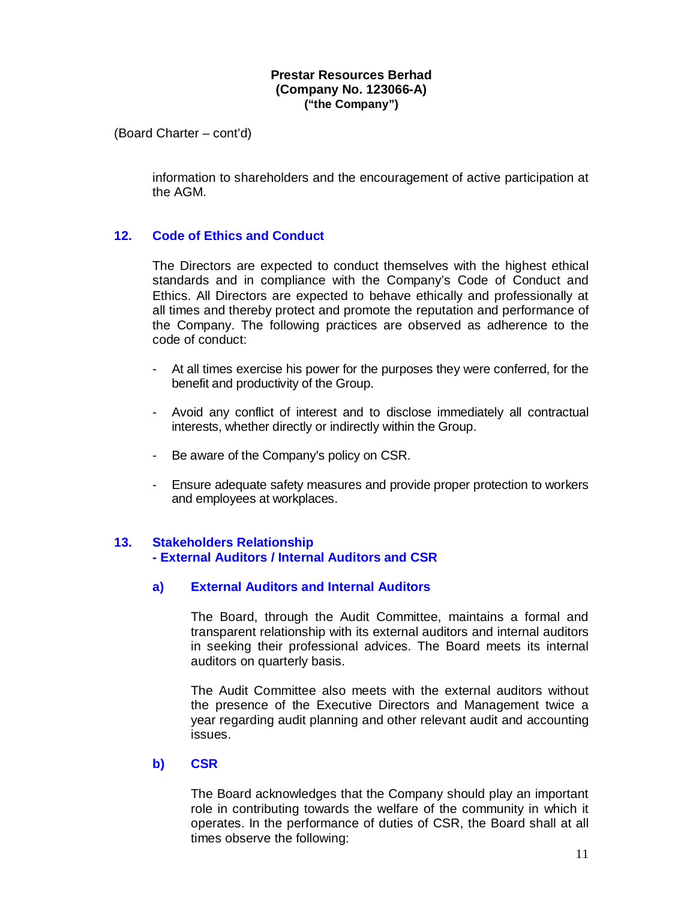(Board Charter – cont'd)

information to shareholders and the encouragement of active participation at the AGM.

# **12. Code of Ethics and Conduct**

The Directors are expected to conduct themselves with the highest ethical standards and in compliance with the Company's Code of Conduct and Ethics. All Directors are expected to behave ethically and professionally at all times and thereby protect and promote the reputation and performance of the Company. The following practices are observed as adherence to the code of conduct:

- At all times exercise his power for the purposes they were conferred, for the benefit and productivity of the Group.
- Avoid any conflict of interest and to disclose immediately all contractual interests, whether directly or indirectly within the Group.
- Be aware of the Company's policy on CSR.
- Ensure adequate safety measures and provide proper protection to workers and employees at workplaces.

## **13. Stakeholders Relationship**

 **- External Auditors / Internal Auditors and CSR**

## **a) External Auditors and Internal Auditors**

The Board, through the Audit Committee, maintains a formal and transparent relationship with its external auditors and internal auditors in seeking their professional advices. The Board meets its internal auditors on quarterly basis.

The Audit Committee also meets with the external auditors without the presence of the Executive Directors and Management twice a year regarding audit planning and other relevant audit and accounting issues.

#### **b) CSR**

The Board acknowledges that the Company should play an important role in contributing towards the welfare of the community in which it operates. In the performance of duties of CSR, the Board shall at all times observe the following: